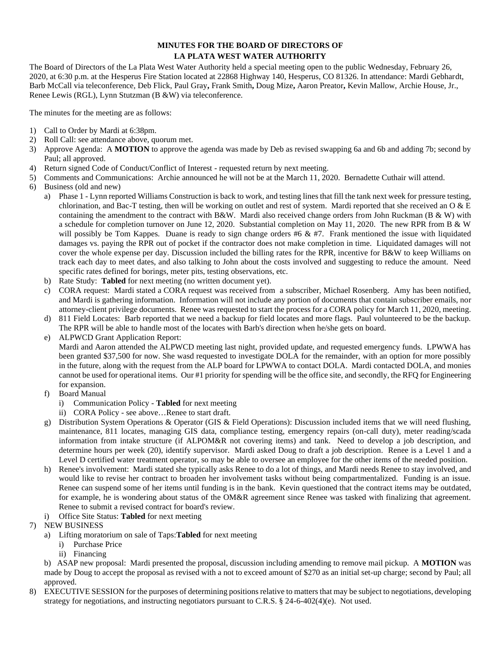## **MINUTES FOR THE BOARD OF DIRECTORS OF LA PLATA WEST WATER AUTHORITY**

The Board of Directors of the La Plata West Water Authority held a special meeting open to the public Wednesday, February 26, 2020, at 6:30 p.m. at the Hesperus Fire Station located at 22868 Highway 140, Hesperus, CO 81326. In attendance: Mardi Gebhardt, Barb McCall via teleconference, Deb Flick, Paul Gray**,** Frank Smith**,** Doug Mize**,** Aaron Preator**,** Kevin Mallow, Archie House, Jr., Renee Lewis (RGL), Lynn Stutzman (B &W) via teleconference.

The minutes for the meeting are as follows:

- 1) Call to Order by Mardi at 6:38pm.
- 2) Roll Call: see attendance above, quorum met.
- 3) Approve Agenda: A **MOTION** to approve the agenda was made by Deb as revised swapping 6a and 6b and adding 7b; second by Paul; all approved.
- 4) Return signed Code of Conduct/Conflict of Interest requested return by next meeting.
- 5) Comments and Communications: Archie announced he will not be at the March 11, 2020. Bernadette Cuthair will attend.
- 6) Business (old and new)
	- a) Phase 1 Lynn reported Williams Construction is back to work, and testing lines that fill the tank next week for pressure testing, chlorination, and Bac-T testing, then will be working on outlet and rest of system. Mardi reported that she received an O  $\&$  E containing the amendment to the contract with B&W. Mardi also received change orders from John Ruckman (B & W) with a schedule for completion turnover on June 12, 2020. Substantial completion on May 11, 2020. The new RPR from B & W will possibly be Tom Kappes. Duane is ready to sign change orders #6 & #7. Frank mentioned the issue with liquidated damages vs. paying the RPR out of pocket if the contractor does not make completion in time. Liquidated damages will not cover the whole expense per day. Discussion included the billing rates for the RPR, incentive for B&W to keep Williams on track each day to meet dates, and also talking to John about the costs involved and suggesting to reduce the amount. Need specific rates defined for borings, meter pits, testing observations, etc.
	- b) Rate Study: **Tabled** for next meeting (no written document yet).
	- c) CORA request: Mardi stated a CORA request was received from a subscriber, Michael Rosenberg. Amy has been notified, and Mardi is gathering information. Information will not include any portion of documents that contain subscriber emails, nor attorney-client privilege documents. Renee was requested to start the process for a CORA policy for March 11, 2020, meeting.
	- d) 811 Field Locates: Barb reported that we need a backup for field locates and more flags. Paul volunteered to be the backup. The RPR will be able to handle most of the locates with Barb's direction when he/she gets on board.

e) ALPWCD Grant Application Report:

Mardi and Aaron attended the ALPWCD meeting last night, provided update, and requested emergency funds. LPWWA has been granted \$37,500 for now. She wasd requested to investigate DOLA for the remainder, with an option for more possibly in the future, along with the request from the ALP board for LPWWA to contact DOLA. Mardi contacted DOLA, and monies cannot be used for operational items. Our #1 priority for spending will be the office site, and secondly, the RFQ for Engineering for expansion.

- f) Board Manual
	- i) Communication Policy **Tabled** for next meeting
	- ii) CORA Policy see above…Renee to start draft.
- g) Distribution System Operations & Operator (GIS & Field Operations): Discussion included items that we will need flushing, maintenance, 811 locates, managing GIS data, compliance testing, emergency repairs (on-call duty), meter reading/scada information from intake structure (if ALPOM&R not covering items) and tank. Need to develop a job description, and determine hours per week (20), identify supervisor. Mardi asked Doug to draft a job description. Renee is a Level 1 and a Level D certified water treatment operator, so may be able to oversee an employee for the other items of the needed position.
- h) Renee's involvement: Mardi stated she typically asks Renee to do a lot of things, and Mardi needs Renee to stay involved, and would like to revise her contract to broaden her involvement tasks without being compartmentalized. Funding is an issue. Renee can suspend some of her items until funding is in the bank. Kevin questioned that the contract items may be outdated, for example, he is wondering about status of the OM&R agreement since Renee was tasked with finalizing that agreement. Renee to submit a revised contract for board's review.
- i) Office Site Status: **Tabled** for next meeting
- 7) NEW BUSINESS
	- a) Lifting moratorium on sale of Taps:**Tabled** for next meeting
		- i) Purchase Price
		- ii) Financing

b) ASAP new proposal: Mardi presented the proposal, discussion including amending to remove mail pickup. A **MOTION** was made by Doug to accept the proposal as revised with a not to exceed amount of \$270 as an initial set-up charge; second by Paul; all approved.

EXECUTIVE SESSION for the purposes of determining positions relative to matters that may be subject to negotiations, developing strategy for negotiations, and instructing negotiators pursuant to C.R.S. § 24-6-402(4)(e). Not used.